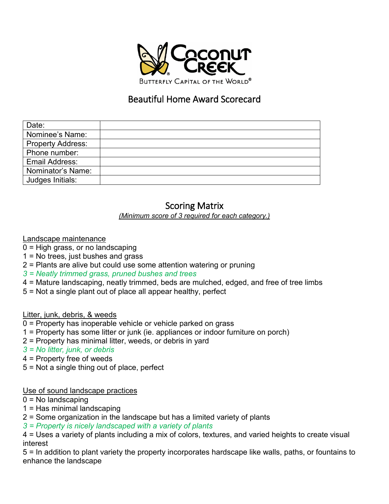

## Beautiful Home Award Scorecard

| Date:                    |  |
|--------------------------|--|
| Nominee's Name:          |  |
| <b>Property Address:</b> |  |
| Phone number:            |  |
| <b>Email Address:</b>    |  |
| Nominator's Name:        |  |
| Judges Initials:         |  |
|                          |  |

# Scoring Matrix

*(Minimum score of 3 required for each category.)* 

### Landscape maintenance

- 0 = High grass, or no landscaping
- 1 = No trees, just bushes and grass
- 2 = Plants are alive but could use some attention watering or pruning
- *3 = Neatly trimmed grass, pruned bushes and trees*
- 4 = Mature landscaping, neatly trimmed, beds are mulched, edged, and free of tree limbs
- 5 = Not a single plant out of place all appear healthy, perfect

Litter, junk, debris, & weeds

- 0 = Property has inoperable vehicle or vehicle parked on grass
- 1 = Property has some litter or junk (ie. appliances or indoor furniture on porch)
- 2 = Property has minimal litter, weeds, or debris in yard

 *3 = No litter, junk, or debris* 

- 4 = Property free of weeds
- 5 = Not a single thing out of place, perfect

#### Use of sound landscape practices

- $0 = No$  landscaping
- 1 = Has minimal landscaping
- 2 = Some organization in the landscape but has a limited variety of plants
- *3 = Property is nicely landscaped with a variety of plants*

4 = Uses a variety of plants including a mix of colors, textures, and varied heights to create visual interest

5 = In addition to plant variety the property incorporates hardscape like walls, paths, or fountains to enhance the landscape